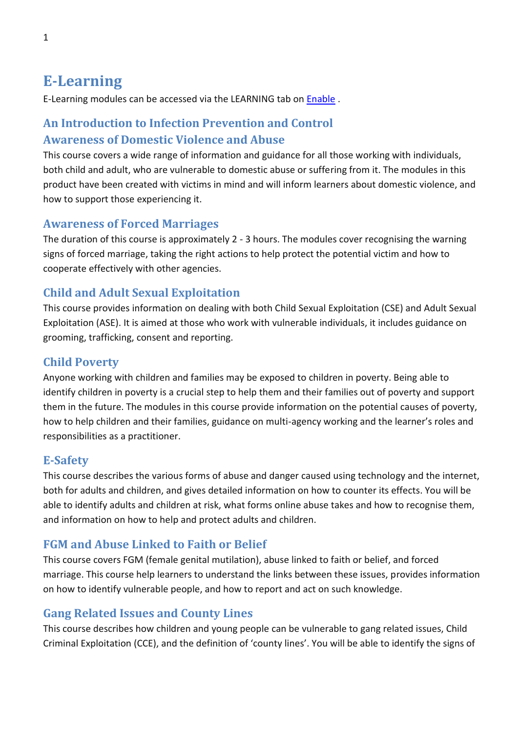# **E-Learning**

E-Learning modules can be accessed via the LEARNING tab on [Enable](https://eur03.safelinks.protection.outlook.com/?url=https%3A%2F%2Fcalderdalescp.vc-enable.co.uk%2Fregister&data=04%7C01%7CLeanne.owen%40ckcareers.org.uk%7C65db17a19fd1433a110208d89c24385b%7C917739e5ba764314bf8806a914747ab9%7C0%7C0%7C637431026668531463%7CUnknown%7CTWFpbGZsb3d8eyJWIjoiMC4wLjAwMDAiLCJQIjoiV2luMzIiLCJBTiI6Ik1haWwiLCJXVCI6Mn0%3D%7C1000&sdata=hcJn3hUUq6tLBCGd9an2s7bRf96T8BZQfHgTNaHlcoU%3D&reserved=0) .

# **An Introduction to Infection Prevention and Control Awareness of Domestic Violence and Abuse**

This course covers a wide range of information and guidance for all those working with individuals, both child and adult, who are vulnerable to domestic abuse or suffering from it. The modules in this product have been created with victims in mind and will inform learners about domestic violence, and how to support those experiencing it.

#### **Awareness of Forced Marriages**

The duration of this course is approximately 2 - 3 hours. The modules cover recognising the warning signs of forced marriage, taking the right actions to help protect the potential victim and how to cooperate effectively with other agencies.

### **Child and Adult Sexual Exploitation**

This course provides information on dealing with both Child Sexual Exploitation (CSE) and Adult Sexual Exploitation (ASE). It is aimed at those who work with vulnerable individuals, it includes guidance on grooming, trafficking, consent and reporting.

### **Child Poverty**

Anyone working with children and families may be exposed to children in poverty. Being able to identify children in poverty is a crucial step to help them and their families out of poverty and support them in the future. The modules in this course provide information on the potential causes of poverty, how to help children and their families, guidance on multi-agency working and the learner's roles and responsibilities as a practitioner.

#### **E-Safety**

This course describes the various forms of abuse and danger caused using technology and the internet, both for adults and children, and gives detailed information on how to counter its effects. You will be able to identify adults and children at risk, what forms online abuse takes and how to recognise them, and information on how to help and protect adults and children.

### **FGM and Abuse Linked to Faith or Belief**

This course covers FGM (female genital mutilation), abuse linked to faith or belief, and forced marriage. This course help learners to understand the links between these issues, provides information on how to identify vulnerable people, and how to report and act on such knowledge.

#### **Gang Related Issues and County Lines**

This course describes how children and young people can be vulnerable to gang related issues, Child Criminal Exploitation (CCE), and the definition of 'county lines'. You will be able to identify the signs of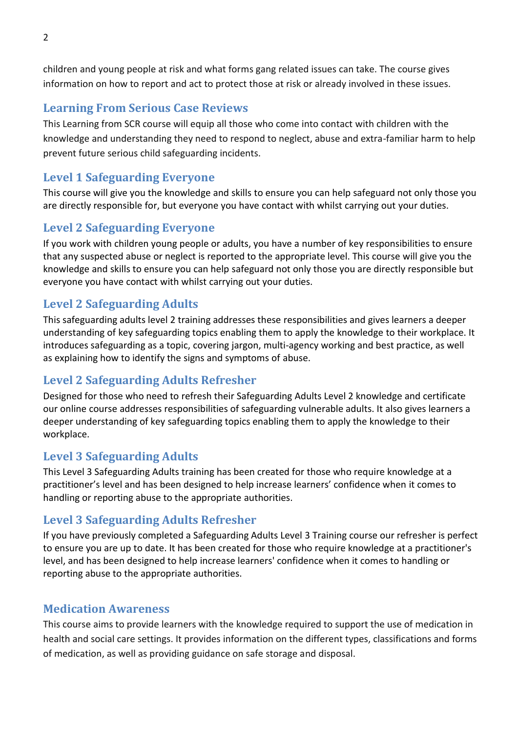children and young people at risk and what forms gang related issues can take. The course gives information on how to report and act to protect those at risk or already involved in these issues.

### **Learning From Serious Case Reviews**

This Learning from SCR course will equip all those who come into contact with children with the knowledge and understanding they need to respond to neglect, abuse and extra-familiar harm to help prevent future serious child safeguarding incidents.

# **Level 1 Safeguarding Everyone**

This course will give you the knowledge and skills to ensure you can help safeguard not only those you are directly responsible for, but everyone you have contact with whilst carrying out your duties.

### **Level 2 Safeguarding Everyone**

If you work with children young people or adults, you have a number of key responsibilities to ensure that any suspected abuse or neglect is reported to the appropriate level. This course will give you the knowledge and skills to ensure you can help safeguard not only those you are directly responsible but everyone you have contact with whilst carrying out your duties.

# **Level 2 Safeguarding Adults**

This safeguarding adults level 2 training addresses these responsibilities and gives learners a deeper understanding of key safeguarding topics enabling them to apply the knowledge to their workplace. It introduces safeguarding as a topic, covering jargon, multi-agency working and best practice, as well as explaining how to identify the signs and symptoms of abuse.

### **Level 2 Safeguarding Adults Refresher**

Designed for those who need to refresh their Safeguarding Adults Level 2 knowledge and certificate our online course addresses responsibilities of safeguarding vulnerable adults. It also gives learners a deeper understanding of key safeguarding topics enabling them to apply the knowledge to their workplace.

### **Level 3 Safeguarding Adults**

This Level 3 Safeguarding Adults training has been created for those who require knowledge at a practitioner's level and has been designed to help increase learners' confidence when it comes to handling or reporting abuse to the appropriate authorities.

### **Level 3 Safeguarding Adults Refresher**

If you have previously completed a Safeguarding Adults Level 3 Training course our refresher is perfect to ensure you are up to date. It has been created for those who require knowledge at a practitioner's level, and has been designed to help increase learners' confidence when it comes to handling or reporting abuse to the appropriate authorities.

### **Medication Awareness**

This course aims to provide learners with the knowledge required to support the use of medication in health and social care settings. It provides information on the different types, classifications and forms of medication, as well as providing guidance on safe storage and disposal.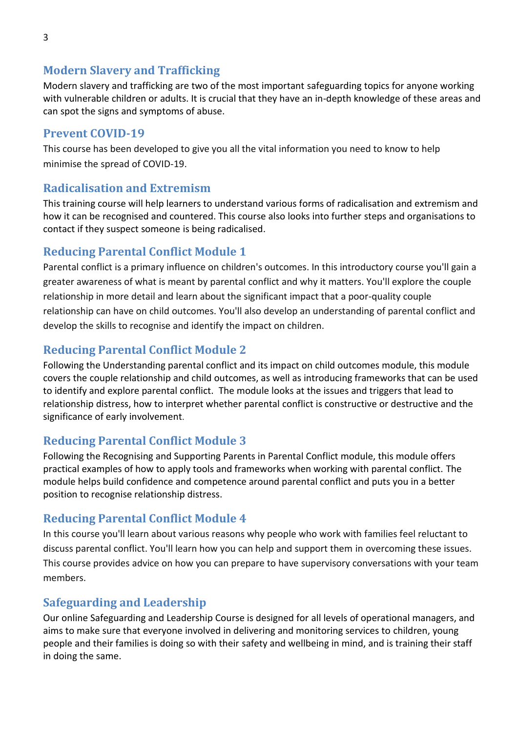### **Modern Slavery and Trafficking**

Modern slavery and trafficking are two of the most important safeguarding topics for anyone working with vulnerable children or adults. It is crucial that they have an in-depth knowledge of these areas and can spot the signs and symptoms of abuse.

#### **Prevent COVID-19**

This course has been developed to give you all the vital information you need to know to help minimise the spread of COVID-19.

#### **Radicalisation and Extremism**

This training course will help learners to understand various forms of radicalisation and extremism and how it can be recognised and countered. This course also looks into further steps and organisations to contact if they suspect someone is being radicalised.

### **Reducing Parental Conflict Module 1**

Parental conflict is a primary influence on children's outcomes. In this introductory course you'll gain a greater awareness of what is meant by parental conflict and why it matters. You'll explore the couple relationship in more detail and learn about the significant impact that a poor-quality couple relationship can have on child outcomes. You'll also develop an understanding of parental conflict and develop the skills to recognise and identify the impact on children.

# **Reducing Parental Conflict Module 2**

Following the Understanding parental conflict and its impact on child outcomes module, this module covers the couple relationship and child outcomes, as well as introducing frameworks that can be used to identify and explore parental conflict. The module looks at the issues and triggers that lead to relationship distress, how to interpret whether parental conflict is constructive or destructive and the significance of early involvement.

# **Reducing Parental Conflict Module 3**

Following the Recognising and Supporting Parents in Parental Conflict module, this module offers practical examples of how to apply tools and frameworks when working with parental conflict. The module helps build confidence and competence around parental conflict and puts you in a better position to recognise relationship distress.

### **Reducing Parental Conflict Module 4**

In this course you'll learn about various reasons why people who work with families feel reluctant to discuss parental conflict. You'll learn how you can help and support them in overcoming these issues. This course provides advice on how you can prepare to have supervisory conversations with your team members.

### **Safeguarding and Leadership**

Our online Safeguarding and Leadership Course is designed for all levels of operational managers, and aims to make sure that everyone involved in delivering and monitoring services to children, young people and their families is doing so with their safety and wellbeing in mind, and is training their staff in doing the same.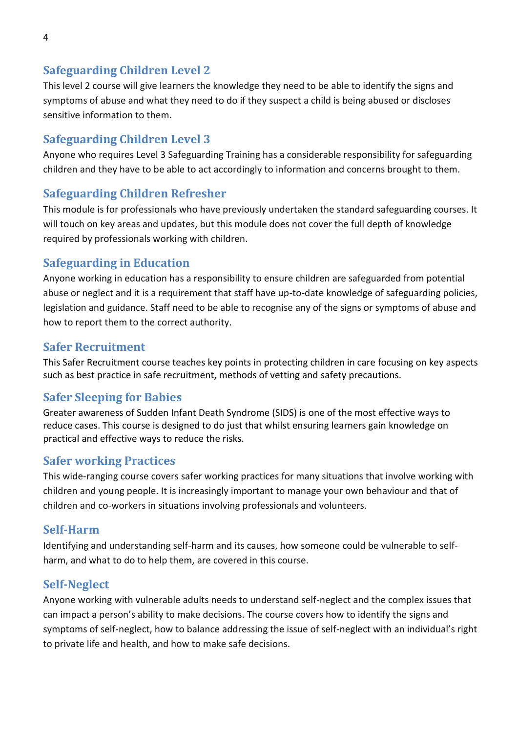# **Safeguarding Children Level 2**

This level 2 course will give learners the knowledge they need to be able to identify the signs and symptoms of abuse and what they need to do if they suspect a child is being abused or discloses sensitive information to them.

### **Safeguarding Children Level 3**

Anyone who requires Level 3 Safeguarding Training has a considerable responsibility for safeguarding children and they have to be able to act accordingly to information and concerns brought to them.

# **Safeguarding Children Refresher**

This module is for professionals who have previously undertaken the standard safeguarding courses. It will touch on key areas and updates, but this module does not cover the full depth of knowledge required by professionals working with children.

# **Safeguarding in Education**

Anyone working in education has a responsibility to ensure children are safeguarded from potential abuse or neglect and it is a requirement that staff have up-to-date knowledge of safeguarding policies, legislation and guidance. Staff need to be able to recognise any of the signs or symptoms of abuse and how to report them to the correct authority.

### **Safer Recruitment**

This Safer Recruitment course teaches key points in protecting children in care focusing on key aspects such as best practice in safe recruitment, methods of vetting and safety precautions.

### **Safer Sleeping for Babies**

Greater awareness of Sudden Infant Death Syndrome (SIDS) is one of the most effective ways to reduce cases. This course is designed to do just that whilst ensuring learners gain knowledge on practical and effective ways to reduce the risks.

### **Safer working Practices**

This wide-ranging course covers safer working practices for many situations that involve working with children and young people. It is increasingly important to manage your own behaviour and that of children and co-workers in situations involving professionals and volunteers.

### **Self-Harm**

Identifying and understanding self-harm and its causes, how someone could be vulnerable to selfharm, and what to do to help them, are covered in this course.

### **Self-Neglect**

Anyone working with vulnerable adults needs to understand self-neglect and the complex issues that can impact a person's ability to make decisions. The course covers how to identify the signs and symptoms of self-neglect, how to balance addressing the issue of self-neglect with an individual's right to private life and health, and how to make safe decisions.